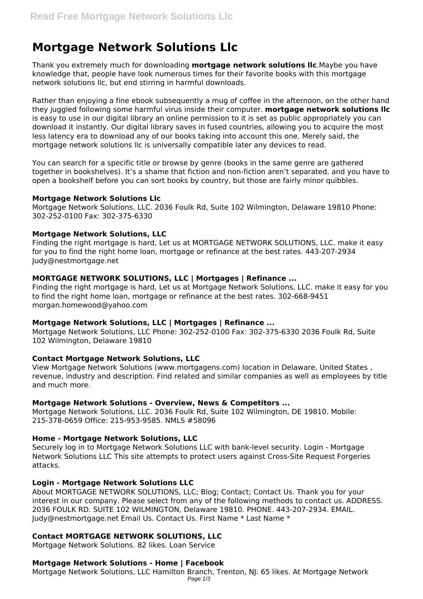# **Mortgage Network Solutions Llc**

Thank you extremely much for downloading **mortgage network solutions llc**.Maybe you have knowledge that, people have look numerous times for their favorite books with this mortgage network solutions llc, but end stirring in harmful downloads.

Rather than enjoying a fine ebook subsequently a mug of coffee in the afternoon, on the other hand they juggled following some harmful virus inside their computer. **mortgage network solutions llc** is easy to use in our digital library an online permission to it is set as public appropriately you can download it instantly. Our digital library saves in fused countries, allowing you to acquire the most less latency era to download any of our books taking into account this one. Merely said, the mortgage network solutions llc is universally compatible later any devices to read.

You can search for a specific title or browse by genre (books in the same genre are gathered together in bookshelves). It's a shame that fiction and non-fiction aren't separated, and you have to open a bookshelf before you can sort books by country, but those are fairly minor quibbles.

#### **Mortgage Network Solutions Llc**

Mortgage Network Solutions, LLC. 2036 Foulk Rd, Suite 102 Wilmington, Delaware 19810 Phone: 302-252-0100 Fax: 302-375-6330

# **Mortgage Network Solutions, LLC**

Finding the right mortgage is hard, Let us at MORTGAGE NETWORK SOLUTIONS, LLC. make it easy for you to find the right home loan, mortgage or refinance at the best rates. 443-207-2934 Judy@nestmortgage.net

# **MORTGAGE NETWORK SOLUTIONS, LLC | Mortgages | Refinance ...**

Finding the right mortgage is hard, Let us at Mortgage Network Solutions, LLC. make it easy for you to find the right home loan, mortgage or refinance at the best rates. 302-668-9451 morgan.homewood@yahoo.com

# **Mortgage Network Solutions, LLC | Mortgages | Refinance ...**

Mortgage Network Solutions, LLC Phone: 302-252-0100 Fax: 302-375-6330 2036 Foulk Rd, Suite 102 Wilmington, Delaware 19810

# **Contact Mortgage Network Solutions, LLC**

View Mortgage Network Solutions (www.mortgagens.com) location in Delaware, United States , revenue, industry and description. Find related and similar companies as well as employees by title and much more.

# **Mortgage Network Solutions - Overview, News & Competitors ...**

Mortgage Network Solutions, LLC. 2036 Foulk Rd, Suite 102 Wilmington, DE 19810. Mobile: 215-378-0659 Office: 215-953-9585. NMLS #58096

# **Home - Mortgage Network Solutions, LLC**

Securely log in to Mortgage Network Solutions LLC with bank-level security. Login - Mortgage Network Solutions LLC This site attempts to protect users against Cross-Site Request Forgeries attacks.

# **Login - Mortgage Network Solutions LLC**

About MORTGAGE NETWORK SOLUTIONS, LLC; Blog; Contact; Contact Us. Thank you for your interest in our company. Please select from any of the following methods to contact us. ADDRESS. 2036 FOULK RD. SUITE 102 WILMINGTON, Delaware 19810. PHONE. 443-207-2934. EMAIL. Judy@nestmortgage.net Email Us. Contact Us. First Name \* Last Name \*

# **Contact MORTGAGE NETWORK SOLUTIONS, LLC**

Mortgage Network Solutions. 82 likes. Loan Service

# **Mortgage Network Solutions - Home | Facebook**

Mortgage Network Solutions, LLC Hamilton Branch, Trenton, NJ. 65 likes. At Mortgage Network Page 1/3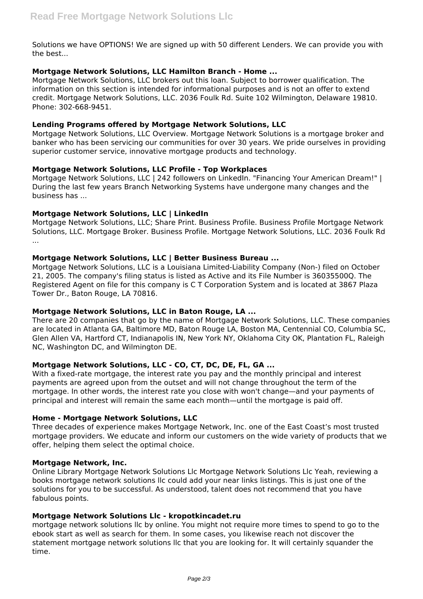Solutions we have OPTIONS! We are signed up with 50 different Lenders. We can provide you with the best...

# **Mortgage Network Solutions, LLC Hamilton Branch - Home ...**

Mortgage Network Solutions, LLC brokers out this loan. Subject to borrower qualification. The information on this section is intended for informational purposes and is not an offer to extend credit. Mortgage Network Solutions, LLC. 2036 Foulk Rd. Suite 102 Wilmington, Delaware 19810. Phone: 302-668-9451.

#### **Lending Programs offered by Mortgage Network Solutions, LLC**

Mortgage Network Solutions, LLC Overview. Mortgage Network Solutions is a mortgage broker and banker who has been servicing our communities for over 30 years. We pride ourselves in providing superior customer service, innovative mortgage products and technology.

#### **Mortgage Network Solutions, LLC Profile - Top Workplaces**

Mortgage Network Solutions, LLC | 242 followers on LinkedIn. "Financing Your American Dream!" | During the last few years Branch Networking Systems have undergone many changes and the business has ...

#### **Mortgage Network Solutions, LLC | LinkedIn**

Mortgage Network Solutions, LLC; Share Print. Business Profile. Business Profile Mortgage Network Solutions, LLC. Mortgage Broker. Business Profile. Mortgage Network Solutions, LLC. 2036 Foulk Rd ...

#### **Mortgage Network Solutions, LLC | Better Business Bureau ...**

Mortgage Network Solutions, LLC is a Louisiana Limited-Liability Company (Non-) filed on October 21, 2005. The company's filing status is listed as Active and its File Number is 36035500Q. The Registered Agent on file for this company is C T Corporation System and is located at 3867 Plaza Tower Dr., Baton Rouge, LA 70816.

#### **Mortgage Network Solutions, LLC in Baton Rouge, LA ...**

There are 20 companies that go by the name of Mortgage Network Solutions, LLC. These companies are located in Atlanta GA, Baltimore MD, Baton Rouge LA, Boston MA, Centennial CO, Columbia SC, Glen Allen VA, Hartford CT, Indianapolis IN, New York NY, Oklahoma City OK, Plantation FL, Raleigh NC, Washington DC, and Wilmington DE.

#### **Mortgage Network Solutions, LLC - CO, CT, DC, DE, FL, GA ...**

With a fixed-rate mortgage, the interest rate you pay and the monthly principal and interest payments are agreed upon from the outset and will not change throughout the term of the mortgage. In other words, the interest rate you close with won't change—and your payments of principal and interest will remain the same each month—until the mortgage is paid off.

#### **Home - Mortgage Network Solutions, LLC**

Three decades of experience makes Mortgage Network, Inc. one of the East Coast's most trusted mortgage providers. We educate and inform our customers on the wide variety of products that we offer, helping them select the optimal choice.

#### **Mortgage Network, Inc.**

Online Library Mortgage Network Solutions Llc Mortgage Network Solutions Llc Yeah, reviewing a books mortgage network solutions llc could add your near links listings. This is just one of the solutions for you to be successful. As understood, talent does not recommend that you have fabulous points.

#### **Mortgage Network Solutions Llc - kropotkincadet.ru**

mortgage network solutions llc by online. You might not require more times to spend to go to the ebook start as well as search for them. In some cases, you likewise reach not discover the statement mortgage network solutions llc that you are looking for. It will certainly squander the time.